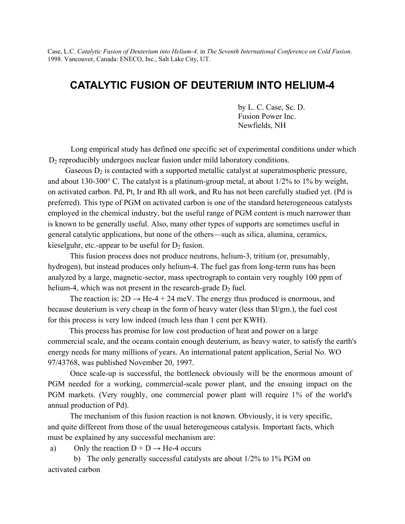Case, L.C. *Catalytic Fusion of Deuterium into Helium-4*. in *The Seventh International Conference on Cold Fusion*. 1998. Vancouver, Canada: ENECO, Inc., Salt Lake City, UT.

## **CATALYTIC FUSION OF DEUTERIUM INTO HELIUM-4**

by L. C. Case, Sc. D. Fusion Power Inc. Newfields, NH

Long empirical study has defined one specific set of experimental conditions under which  $D_2$  reproducibly undergoes nuclear fusion under mild laboratory conditions.

Gaseous  $D_2$  is contacted with a supported metallic catalyst at superatmospheric pressure, and about 130-300 $^{\circ}$  C. The catalyst is a platinum-group metal, at about 1/2% to 1% by weight, on activated carbon. Pd, Pt, Ir and Rh all work, and Ru has not been carefully studied yet. (Pd is preferred). This type of PGM on activated carbon is one of the standard heterogeneous catalysts employed in the chemical industry, but the useful range of PGM content is much narrower than is known to be generally useful. Also, many other types of supports are sometimes useful in general catalytic applications, but none of the others—such as silica, alumina, ceramics, kieselguhr, etc.-appear to be useful for  $D_2$  fusion.

This fusion process does not produce neutrons, helium-3, tritium (or, presumably, hydrogen), but instead produces only helium-4. The fuel gas from long-term runs has been analyzed by a large, magnetic-sector, mass spectrograph to contain very roughly 100 ppm of helium-4, which was not present in the research-grade  $D_2$  fuel.

The reaction is:  $2D \rightarrow He-4 + 24$  meV. The energy thus produced is enormous, and because deuterium is very cheap in the form of heavy water (less than \$l/gm.), the fuel cost for this process is very low indeed (much less than 1 cent per KWH).

This process has promise for low cost production of heat and power on a large commercial scale, and the oceans contain enough deuterium, as heavy water, to satisfy the earth's energy needs for many millions of years. An international patent application, Serial No. WO 97/43768, was published November 20, 1997.

Once scale-up is successful, the bottleneck obviously will be the enormous amount of PGM needed for a working, commercial-scale power plant, and the ensuing impact on the PGM markets. (Very roughly, one commercial power plant will require 1*%* of the world's annual production of Pd).

The mechanism of this fusion reaction is not known. Obviously, it is very specific, and quite different from those of the usual heterogeneous catalysis. Important facts, which must be explained by any successful mechanism are:

a) Only the reaction  $D + D \rightarrow He-4$  occurs

b) The only generally successful catalysts are about 1/2% to 1% PGM on activated carbon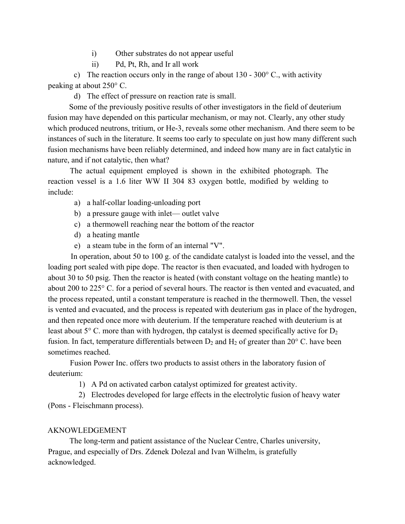- i) Other substrates do not appear useful
- ii) Pd, Pt, Rh, and Ir all work

c) The reaction occurs only in the range of about 130 -  $300^{\circ}$  C, with activity peaking at about 250° C.

d) The effect of pressure on reaction rate is small.

Some of the previously positive results of other investigators in the field of deuterium fusion may have depended on this particular mechanism, or may not. Clearly, any other study which produced neutrons, tritium, or He-3, reveals some other mechanism. And there seem to be instances of such in the literature. It seems too early to speculate on just how many different such fusion mechanisms have been reliably determined, and indeed how many are in fact catalytic in nature, and if not catalytic, then what?

The actual equipment employed is shown in the exhibited photograph. The reaction vessel is a 1.6 liter WW II 304 83 oxygen bottle, modified by welding to include:

- a) a half-collar loading-unloading port
- b) a pressure gauge with inlet— outlet valve
- c) a thermowell reaching near the bottom of the reactor
- d) a heating mantle
- e) a steam tube in the form of an internal "V".

In operation, about 50 to 100 g. of the candidate catalyst is loaded into the vessel, and the loading port sealed with pipe dope. The reactor is then evacuated, and loaded with hydrogen to about 30 to 50 psig. Then the reactor is heated (with constant voltage on the heating mantle) to about 200 to 225° C. for a period of several hours. The reactor is then vented and evacuated, and the process repeated, until a constant temperature is reached in the thermowell. Then, the vessel is vented and evacuated, and the process is repeated with deuterium gas in place of the hydrogen, and then repeated once more with deuterium. If the temperature reached with deuterium is at least about  $5^{\circ}$  C. more than with hydrogen, thp catalyst is deemed specifically active for  $D_2$ fusion. In fact, temperature differentials between  $D_2$  and  $H_2$  of greater than 20 $\degree$  C. have been sometimes reached.

Fusion Power Inc. offers two products to assist others in the laboratory fusion of deuterium:

1) A Pd on activated carbon catalyst optimized for greatest activity.

2) Electrodes developed for large effects in the electrolytic fusion of heavy water (Pons - Fleischmann process).

## AKNOWLEDGEMENT

The long-term and patient assistance of the Nuclear Centre, Charles university, Prague, and especially of Drs. Zdenek Dolezal and Ivan Wilhelm, is gratefully acknowledged.